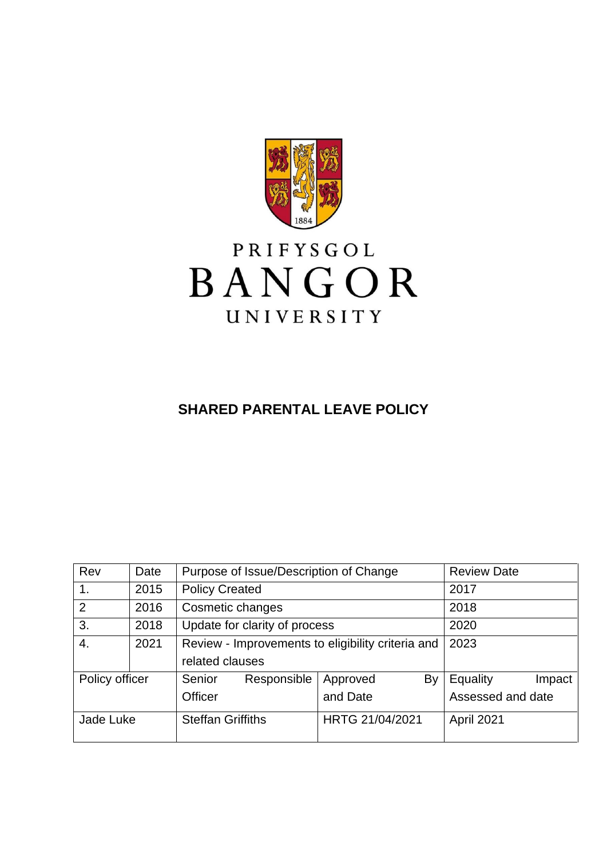

# PRIFYSGOL BANGOR UNIVERSITY

## **SHARED PARENTAL LEAVE POLICY**

| Rev            | Date | Purpose of Issue/Description of Change            |             |                 | <b>Review Date</b> |            |        |
|----------------|------|---------------------------------------------------|-------------|-----------------|--------------------|------------|--------|
| 1 <sub>1</sub> | 2015 | <b>Policy Created</b>                             |             |                 | 2017               |            |        |
| 2              | 2016 | Cosmetic changes                                  |             | 2018            |                    |            |        |
| 3.             | 2018 | Update for clarity of process                     |             | 2020            |                    |            |        |
| 4.             | 2021 | Review - Improvements to eligibility criteria and |             |                 | 2023               |            |        |
|                |      | related clauses                                   |             |                 |                    |            |        |
| Policy officer |      | Senior                                            | Responsible | Approved        | By                 | Equality   | Impact |
|                |      | and Date<br>Officer                               |             |                 | Assessed and date  |            |        |
| Jade Luke      |      | <b>Steffan Griffiths</b>                          |             | HRTG 21/04/2021 |                    | April 2021 |        |
|                |      |                                                   |             |                 |                    |            |        |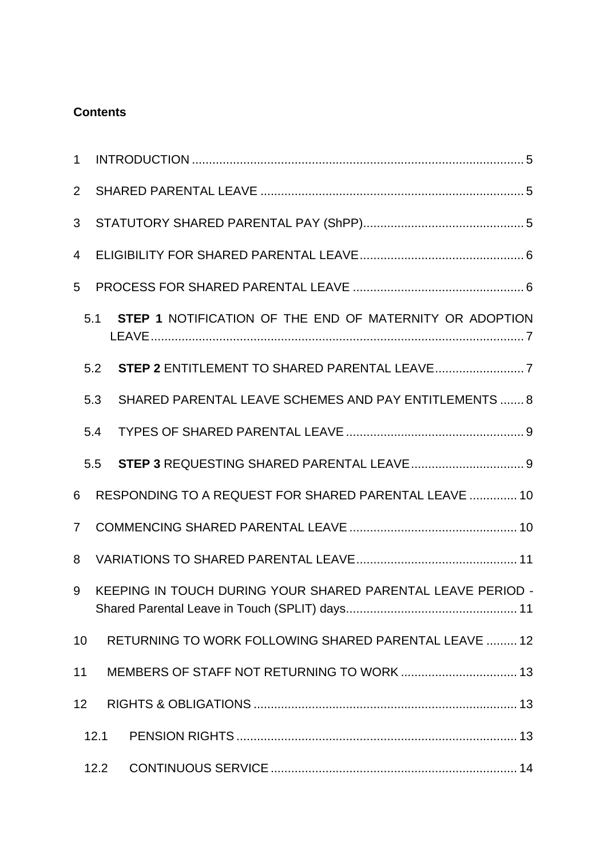## **Contents**

| $\mathbf{1}$   |      |                                                             |  |  |  |  |  |
|----------------|------|-------------------------------------------------------------|--|--|--|--|--|
| $\overline{2}$ |      |                                                             |  |  |  |  |  |
| 3              |      |                                                             |  |  |  |  |  |
| 4              |      |                                                             |  |  |  |  |  |
| 5              |      |                                                             |  |  |  |  |  |
|                | 5.1  | STEP 1 NOTIFICATION OF THE END OF MATERNITY OR ADOPTION     |  |  |  |  |  |
|                | 5.2  |                                                             |  |  |  |  |  |
|                | 5.3  | SHARED PARENTAL LEAVE SCHEMES AND PAY ENTITLEMENTS  8       |  |  |  |  |  |
|                | 5.4  |                                                             |  |  |  |  |  |
|                | 5.5  |                                                             |  |  |  |  |  |
| 6              |      | RESPONDING TO A REQUEST FOR SHARED PARENTAL LEAVE  10       |  |  |  |  |  |
| $\overline{7}$ |      |                                                             |  |  |  |  |  |
| 8              |      |                                                             |  |  |  |  |  |
| 9              |      | KEEPING IN TOUCH DURING YOUR SHARED PARENTAL LEAVE PERIOD - |  |  |  |  |  |
| 10             |      | RETURNING TO WORK FOLLOWING SHARED PARENTAL LEAVE  12       |  |  |  |  |  |
| 11             |      |                                                             |  |  |  |  |  |
| 12             |      |                                                             |  |  |  |  |  |
|                | 12.1 |                                                             |  |  |  |  |  |
|                | 12.2 |                                                             |  |  |  |  |  |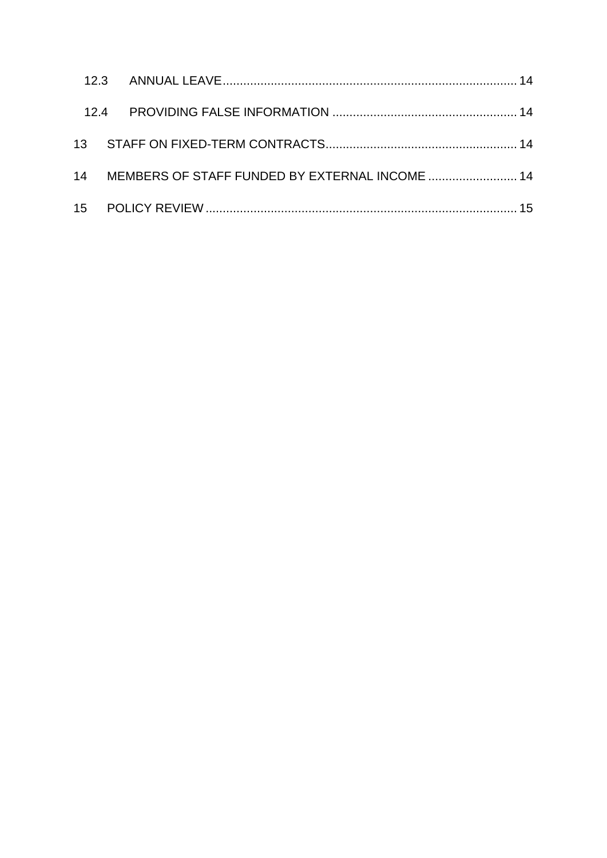| 14 MEMBERS OF STAFF FUNDED BY EXTERNAL INCOME  14 |  |
|---------------------------------------------------|--|
|                                                   |  |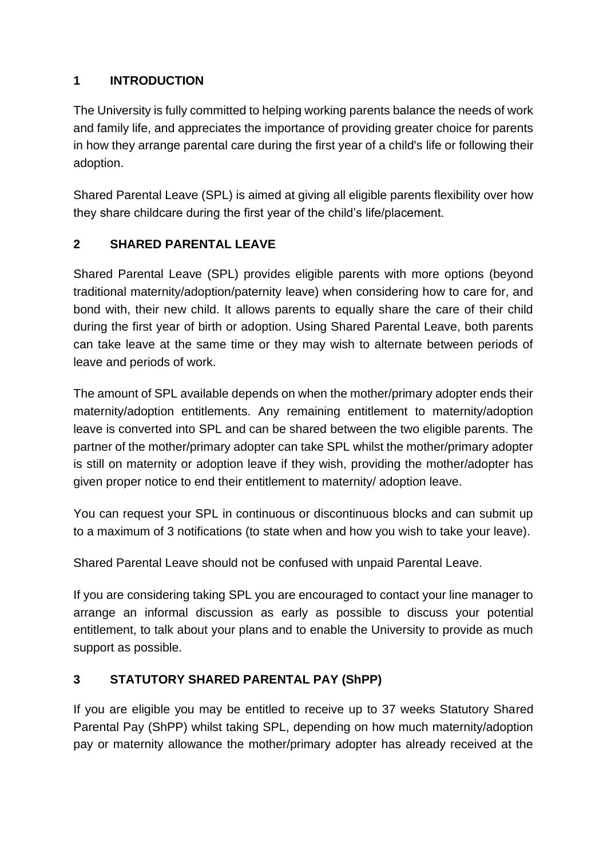## <span id="page-4-0"></span>**1 INTRODUCTION**

The University is fully committed to helping working parents balance the needs of work and family life, and appreciates the importance of providing greater choice for parents in how they arrange parental care during the first year of a child's life or following their adoption.

Shared Parental Leave (SPL) is aimed at giving all eligible parents flexibility over how they share childcare during the first year of the child's life/placement.

## <span id="page-4-1"></span>**2 SHARED PARENTAL LEAVE**

Shared Parental Leave (SPL) provides eligible parents with more options (beyond traditional maternity/adoption/paternity leave) when considering how to care for, and bond with, their new child. It allows parents to equally share the care of their child during the first year of birth or adoption. Using Shared Parental Leave, both parents can take leave at the same time or they may wish to alternate between periods of leave and periods of work.

The amount of SPL available depends on when the mother/primary adopter ends their maternity/adoption entitlements. Any remaining entitlement to maternity/adoption leave is converted into SPL and can be shared between the two eligible parents. The partner of the mother/primary adopter can take SPL whilst the mother/primary adopter is still on maternity or adoption leave if they wish, providing the mother/adopter has given proper notice to end their entitlement to maternity/ adoption leave.

You can request your SPL in continuous or discontinuous blocks and can submit up to a maximum of 3 notifications (to state when and how you wish to take your leave).

Shared Parental Leave should not be confused with unpaid Parental Leave.

If you are considering taking SPL you are encouraged to contact your line manager to arrange an informal discussion as early as possible to discuss your potential entitlement, to talk about your plans and to enable the University to provide as much support as possible.

## <span id="page-4-2"></span>**3 STATUTORY SHARED PARENTAL PAY (ShPP)**

If you are eligible you may be entitled to receive up to 37 weeks Statutory Shared Parental Pay (ShPP) whilst taking SPL, depending on how much maternity/adoption pay or maternity allowance the mother/primary adopter has already received at the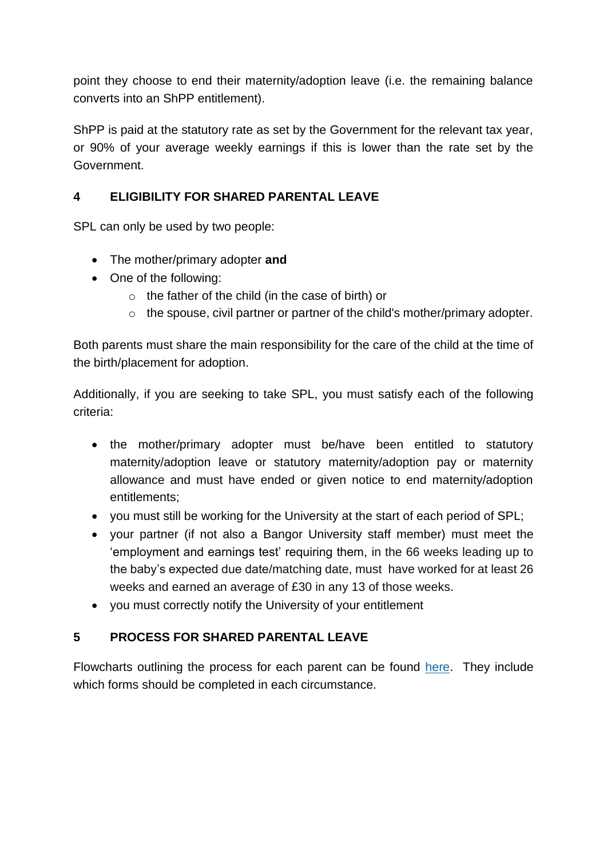point they choose to end their maternity/adoption leave (i.e. the remaining balance converts into an ShPP entitlement).

ShPP is paid at the statutory rate as set by the Government for the relevant tax year, or 90% of your average weekly earnings if this is lower than the rate set by the Government.

#### <span id="page-5-0"></span>**4 ELIGIBILITY FOR SHARED PARENTAL LEAVE**

SPL can only be used by two people:

- The mother/primary adopter **and**
- One of the following:
	- o the father of the child (in the case of birth) or
	- o the spouse, civil partner or partner of the child's mother/primary adopter.

Both parents must share the main responsibility for the care of the child at the time of the birth/placement for adoption.

Additionally, if you are seeking to take SPL, you must satisfy each of the following criteria:

- the mother/primary adopter must be/have been entitled to statutory maternity/adoption leave or statutory maternity/adoption pay or maternity allowance and must have ended or given notice to end maternity/adoption entitlements;
- you must still be working for the University at the start of each period of SPL;
- your partner (if not also a Bangor University staff member) must meet the 'employment and earnings test' requiring them, in the 66 weeks leading up to the baby's expected due date/matching date, must have worked for at least 26 weeks and earned an average of £30 in any 13 of those weeks.
- you must correctly notify the University of your entitlement

## <span id="page-5-1"></span>**5 PROCESS FOR SHARED PARENTAL LEAVE**

Flowcharts outlining the process for each parent can be found [here.](https://www.bangor.ac.uk/humanresources/family.php.en) They include which forms should be completed in each circumstance.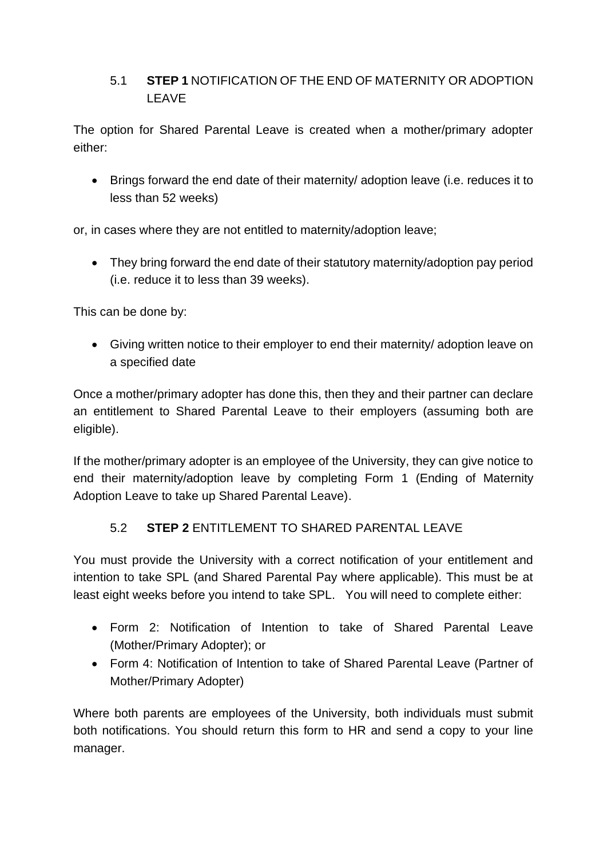## <span id="page-6-0"></span>5.1 **STEP 1** NOTIFICATION OF THE END OF MATERNITY OR ADOPTION LEAVE

The option for Shared Parental Leave is created when a mother/primary adopter either:

• Brings forward the end date of their maternity/ adoption leave (i.e. reduces it to less than 52 weeks)

or, in cases where they are not entitled to maternity/adoption leave;

• They bring forward the end date of their statutory maternity/adoption pay period (i.e. reduce it to less than 39 weeks).

This can be done by:

• Giving written notice to their employer to end their maternity/ adoption leave on a specified date

Once a mother/primary adopter has done this, then they and their partner can declare an entitlement to Shared Parental Leave to their employers (assuming both are eligible).

If the mother/primary adopter is an employee of the University, they can give notice to end their maternity/adoption leave by completing Form 1 (Ending of Maternity Adoption Leave to take up Shared Parental Leave).

#### 5.2 **STEP 2** ENTITLEMENT TO SHARED PARENTAL LEAVE

<span id="page-6-1"></span>You must provide the University with a correct notification of your entitlement and intention to take SPL (and Shared Parental Pay where applicable). This must be at least eight weeks before you intend to take SPL. You will need to complete either:

- Form 2: Notification of Intention to take of Shared Parental Leave (Mother/Primary Adopter); or
- Form 4: Notification of Intention to take of Shared Parental Leave (Partner of Mother/Primary Adopter)

Where both parents are employees of the University, both individuals must submit both notifications. You should return this form to HR and send a copy to your line manager.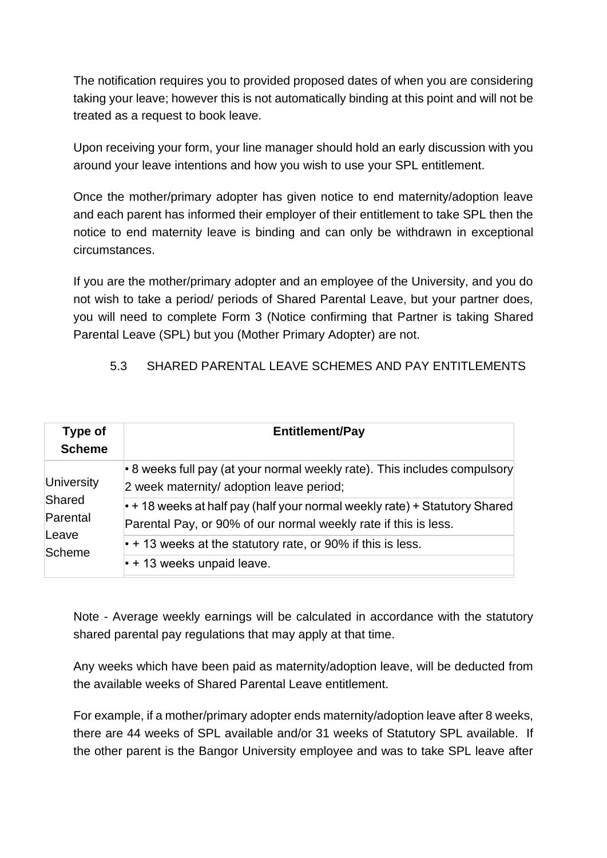The notification requires you to provided proposed dates of when you are considering taking your leave; however this is not automatically binding at this point and will not be treated as a request to book leave.

Upon receiving your form, your line manager should hold an early discussion with you around your leave intentions and how you wish to use your SPL entitlement.

Once the mother/primary adopter has given notice to end maternity/adoption leave and each parent has informed their employer of their entitlement to take SPL then the notice to end maternity leave is binding and can only be withdrawn in exceptional circumstances.

If you are the mother/primary adopter and an employee of the University, and you do not wish to take a period/ periods of Shared Parental Leave, but your partner does, you will need to complete Form 3 (Notice confirming that Partner is taking Shared Parental Leave (SPL) but you (Mother Primary Adopter) are not.

<span id="page-7-0"></span>5.3 SHARED PARENTAL LEAVE SCHEMES AND PAY ENTITLEMENTS

| Type of<br><b>Scheme</b>         | <b>Entitlement/Pay</b>                                                                                                                              |
|----------------------------------|-----------------------------------------------------------------------------------------------------------------------------------------------------|
| University<br>Shared<br>Parental | • 8 weeks full pay (at your normal weekly rate). This includes compulsory<br>2 week maternity/ adoption leave period;                               |
|                                  | $\cdot$ + 18 weeks at half pay (half your normal weekly rate) + Statutory Shared<br>Parental Pay, or 90% of our normal weekly rate if this is less. |
| Leave<br>Scheme                  | $\cdot$ + 13 weeks at the statutory rate, or 90% if this is less.                                                                                   |
|                                  | $\cdot$ + 13 weeks unpaid leave.                                                                                                                    |

Note - Average weekly earnings will be calculated in accordance with the statutory shared parental pay regulations that may apply at that time.

Any weeks which have been paid as maternity/adoption leave, will be deducted from the available weeks of Shared Parental Leave entitlement.

For example, if a mother/primary adopter ends maternity/adoption leave after 8 weeks, there are 44 weeks of SPL available and/or 31 weeks of Statutory SPL available. If the other parent is the Bangor University employee and was to take SPL leave after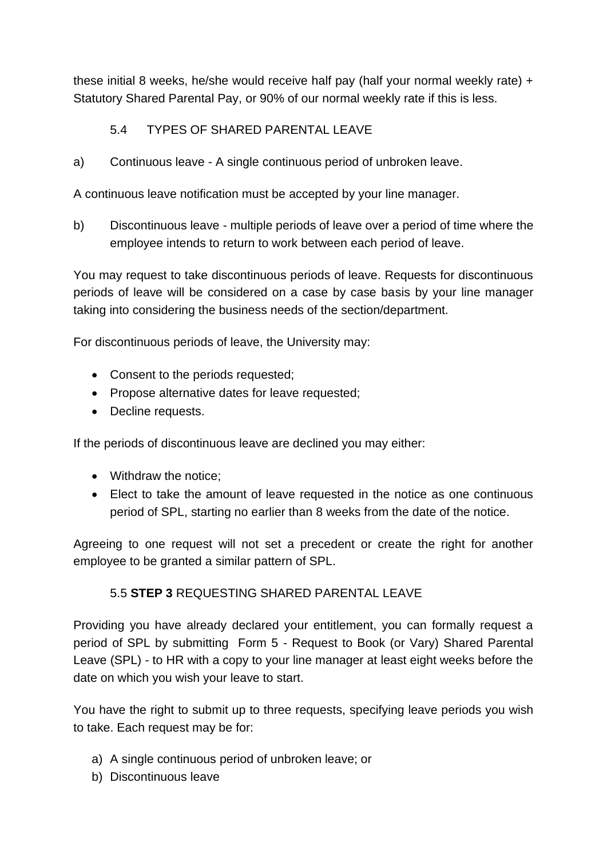these initial 8 weeks, he/she would receive half pay (half your normal weekly rate) + Statutory Shared Parental Pay, or 90% of our normal weekly rate if this is less.

#### 5.4 TYPES OF SHARED PARENTAL LEAVE

<span id="page-8-0"></span>a) Continuous leave - A single continuous period of unbroken leave.

A continuous leave notification must be accepted by your line manager.

b) Discontinuous leave - multiple periods of leave over a period of time where the employee intends to return to work between each period of leave.

You may request to take discontinuous periods of leave. Requests for discontinuous periods of leave will be considered on a case by case basis by your line manager taking into considering the business needs of the section/department.

For discontinuous periods of leave, the University may:

- Consent to the periods requested;
- Propose alternative dates for leave requested;
- Decline requests.

If the periods of discontinuous leave are declined you may either:

- Withdraw the notice;
- Elect to take the amount of leave requested in the notice as one continuous period of SPL, starting no earlier than 8 weeks from the date of the notice.

Agreeing to one request will not set a precedent or create the right for another employee to be granted a similar pattern of SPL.

#### 5.5 **STEP 3** REQUESTING SHARED PARENTAL LEAVE

<span id="page-8-1"></span>Providing you have already declared your entitlement, you can formally request a period of SPL by submitting Form 5 - Request to Book (or Vary) Shared Parental Leave (SPL) - to HR with a copy to your line manager at least eight weeks before the date on which you wish your leave to start.

You have the right to submit up to three requests, specifying leave periods you wish to take. Each request may be for:

- a) A single continuous period of unbroken leave; or
- b) Discontinuous leave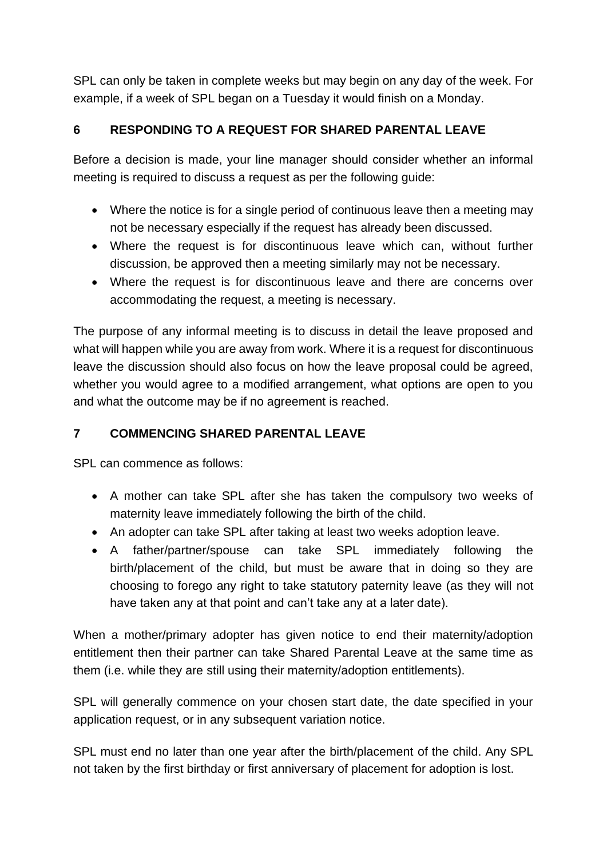SPL can only be taken in complete weeks but may begin on any day of the week. For example, if a week of SPL began on a Tuesday it would finish on a Monday.

#### <span id="page-9-0"></span>**6 RESPONDING TO A REQUEST FOR SHARED PARENTAL LEAVE**

Before a decision is made, your line manager should consider whether an informal meeting is required to discuss a request as per the following guide:

- Where the notice is for a single period of continuous leave then a meeting may not be necessary especially if the request has already been discussed.
- Where the request is for discontinuous leave which can, without further discussion, be approved then a meeting similarly may not be necessary.
- Where the request is for discontinuous leave and there are concerns over accommodating the request, a meeting is necessary.

The purpose of any informal meeting is to discuss in detail the leave proposed and what will happen while you are away from work. Where it is a request for discontinuous leave the discussion should also focus on how the leave proposal could be agreed, whether you would agree to a modified arrangement, what options are open to you and what the outcome may be if no agreement is reached.

## <span id="page-9-1"></span>**7 COMMENCING SHARED PARENTAL LEAVE**

SPL can commence as follows:

- A mother can take SPL after she has taken the compulsory two weeks of maternity leave immediately following the birth of the child.
- An adopter can take SPL after taking at least two weeks adoption leave.
- A father/partner/spouse can take SPL immediately following the birth/placement of the child, but must be aware that in doing so they are choosing to forego any right to take statutory paternity leave (as they will not have taken any at that point and can't take any at a later date).

When a mother/primary adopter has given notice to end their maternity/adoption entitlement then their partner can take Shared Parental Leave at the same time as them (i.e. while they are still using their maternity/adoption entitlements).

SPL will generally commence on your chosen start date, the date specified in your application request, or in any subsequent variation notice.

SPL must end no later than one year after the birth/placement of the child. Any SPL not taken by the first birthday or first anniversary of placement for adoption is lost.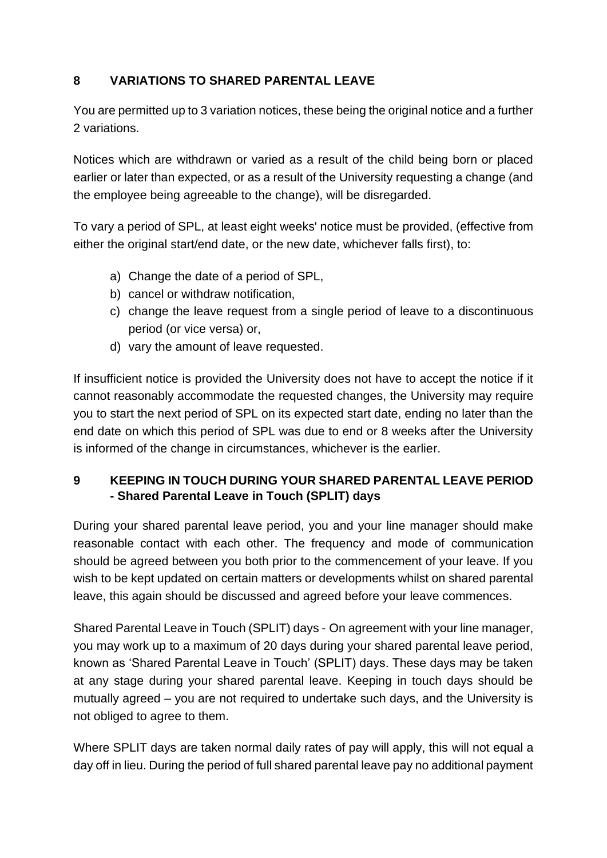## <span id="page-10-0"></span>**8 VARIATIONS TO SHARED PARENTAL LEAVE**

You are permitted up to 3 variation notices, these being the original notice and a further 2 variations.

Notices which are withdrawn or varied as a result of the child being born or placed earlier or later than expected, or as a result of the University requesting a change (and the employee being agreeable to the change), will be disregarded.

To vary a period of SPL, at least eight weeks' notice must be provided, (effective from either the original start/end date, or the new date, whichever falls first), to:

- a) Change the date of a period of SPL,
- b) cancel or withdraw notification,
- c) change the leave request from a single period of leave to a discontinuous period (or vice versa) or,
- d) vary the amount of leave requested.

If insufficient notice is provided the University does not have to accept the notice if it cannot reasonably accommodate the requested changes, the University may require you to start the next period of SPL on its expected start date, ending no later than the end date on which this period of SPL was due to end or 8 weeks after the University is informed of the change in circumstances, whichever is the earlier.

#### <span id="page-10-1"></span>**9 KEEPING IN TOUCH DURING YOUR SHARED PARENTAL LEAVE PERIOD - Shared Parental Leave in Touch (SPLIT) days**

During your shared parental leave period, you and your line manager should make reasonable contact with each other. The frequency and mode of communication should be agreed between you both prior to the commencement of your leave. If you wish to be kept updated on certain matters or developments whilst on shared parental leave, this again should be discussed and agreed before your leave commences.

Shared Parental Leave in Touch (SPLIT) days - On agreement with your line manager, you may work up to a maximum of 20 days during your shared parental leave period, known as 'Shared Parental Leave in Touch' (SPLIT) days. These days may be taken at any stage during your shared parental leave. Keeping in touch days should be mutually agreed – you are not required to undertake such days, and the University is not obliged to agree to them.

Where SPLIT days are taken normal daily rates of pay will apply, this will not equal a day off in lieu. During the period of full shared parental leave pay no additional payment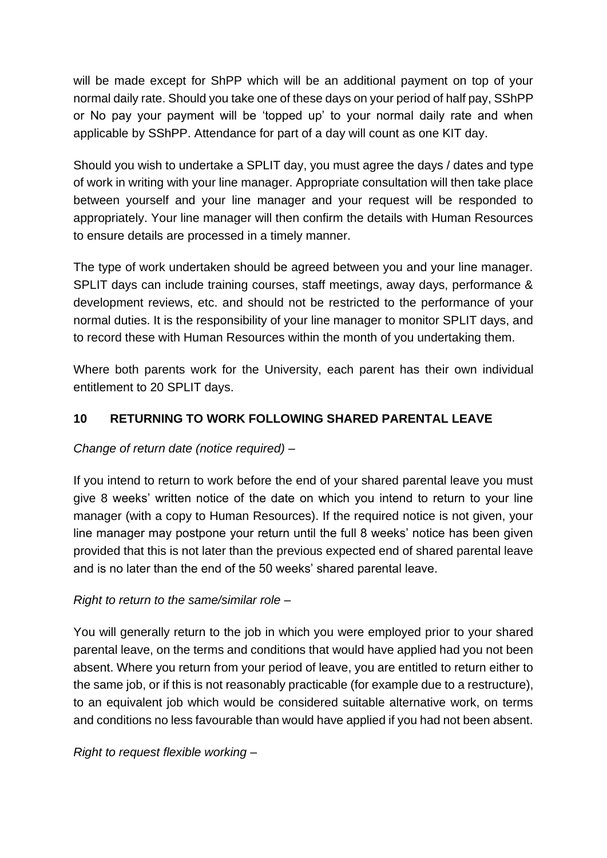will be made except for ShPP which will be an additional payment on top of your normal daily rate. Should you take one of these days on your period of half pay, SShPP or No pay your payment will be 'topped up' to your normal daily rate and when applicable by SShPP. Attendance for part of a day will count as one KIT day.

Should you wish to undertake a SPLIT day, you must agree the days / dates and type of work in writing with your line manager. Appropriate consultation will then take place between yourself and your line manager and your request will be responded to appropriately. Your line manager will then confirm the details with Human Resources to ensure details are processed in a timely manner.

The type of work undertaken should be agreed between you and your line manager. SPLIT days can include training courses, staff meetings, away days, performance & development reviews, etc. and should not be restricted to the performance of your normal duties. It is the responsibility of your line manager to monitor SPLIT days, and to record these with Human Resources within the month of you undertaking them.

Where both parents work for the University, each parent has their own individual entitlement to 20 SPLIT days.

#### <span id="page-11-0"></span>**10 RETURNING TO WORK FOLLOWING SHARED PARENTAL LEAVE**

#### *Change of return date (notice required) –*

If you intend to return to work before the end of your shared parental leave you must give 8 weeks' written notice of the date on which you intend to return to your line manager (with a copy to Human Resources). If the required notice is not given, your line manager may postpone your return until the full 8 weeks' notice has been given provided that this is not later than the previous expected end of shared parental leave and is no later than the end of the 50 weeks' shared parental leave.

#### *Right to return to the same/similar role –*

You will generally return to the job in which you were employed prior to your shared parental leave, on the terms and conditions that would have applied had you not been absent. Where you return from your period of leave, you are entitled to return either to the same job, or if this is not reasonably practicable (for example due to a restructure), to an equivalent job which would be considered suitable alternative work, on terms and conditions no less favourable than would have applied if you had not been absent.

*Right to request flexible working –*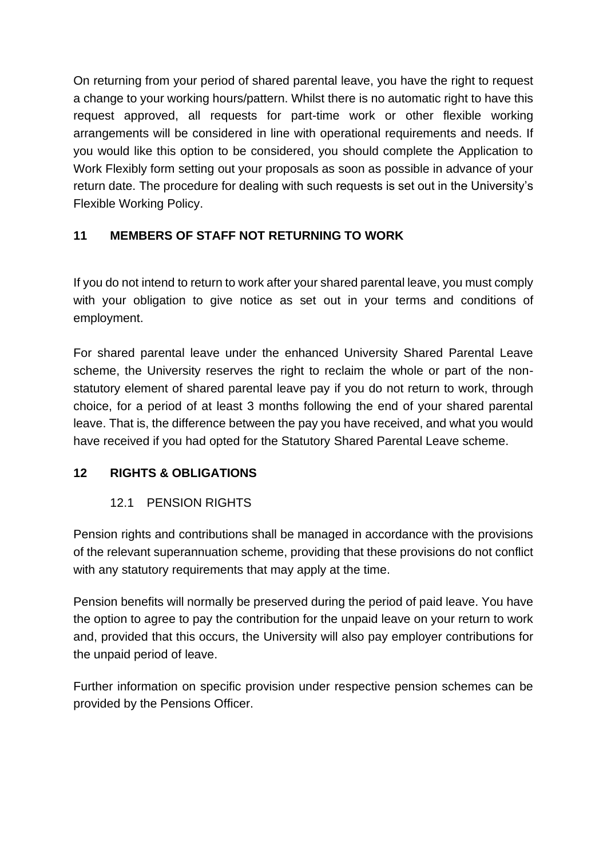On returning from your period of shared parental leave, you have the right to request a change to your working hours/pattern. Whilst there is no automatic right to have this request approved, all requests for part-time work or other flexible working arrangements will be considered in line with operational requirements and needs. If you would like this option to be considered, you should complete the Application to Work Flexibly form setting out your proposals as soon as possible in advance of your return date. The procedure for dealing with such requests is set out in the University's Flexible Working Policy.

## <span id="page-12-0"></span>**11 MEMBERS OF STAFF NOT RETURNING TO WORK**

If you do not intend to return to work after your shared parental leave, you must comply with your obligation to give notice as set out in your terms and conditions of employment.

For shared parental leave under the enhanced University Shared Parental Leave scheme, the University reserves the right to reclaim the whole or part of the nonstatutory element of shared parental leave pay if you do not return to work, through choice, for a period of at least 3 months following the end of your shared parental leave. That is, the difference between the pay you have received, and what you would have received if you had opted for the Statutory Shared Parental Leave scheme.

#### <span id="page-12-2"></span><span id="page-12-1"></span>**12 RIGHTS & OBLIGATIONS**

#### 12.1 PENSION RIGHTS

Pension rights and contributions shall be managed in accordance with the provisions of the relevant superannuation scheme, providing that these provisions do not conflict with any statutory requirements that may apply at the time.

Pension benefits will normally be preserved during the period of paid leave. You have the option to agree to pay the contribution for the unpaid leave on your return to work and, provided that this occurs, the University will also pay employer contributions for the unpaid period of leave.

Further information on specific provision under respective pension schemes can be provided by the Pensions Officer.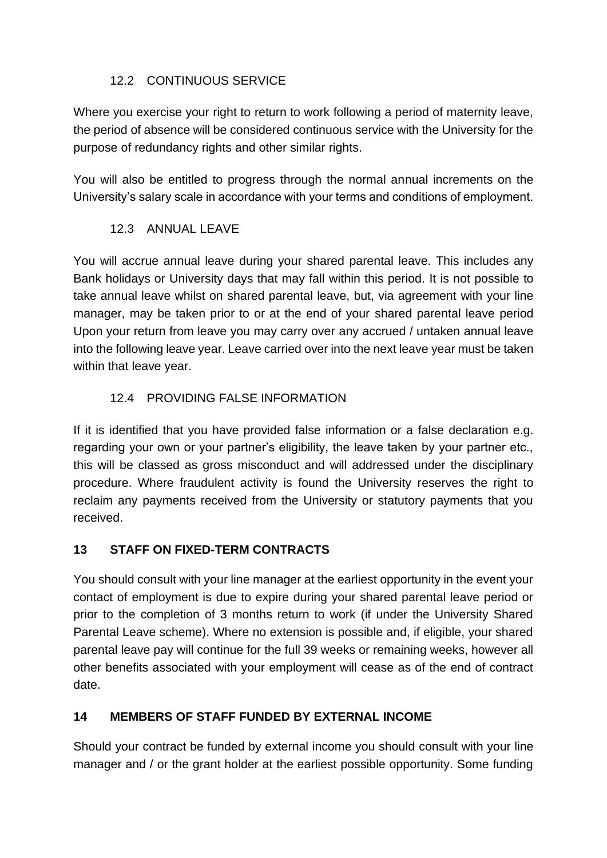## 12.2 CONTINUOUS SERVICE

<span id="page-13-0"></span>Where you exercise your right to return to work following a period of maternity leave, the period of absence will be considered continuous service with the University for the purpose of redundancy rights and other similar rights.

You will also be entitled to progress through the normal annual increments on the University's salary scale in accordance with your terms and conditions of employment.

## <span id="page-13-2"></span><span id="page-13-1"></span>12.3 ANNUAL LEAVE

You will accrue annual leave during your shared parental leave. This includes any Bank holidays or University days that may fall within this period. It is not possible to take annual leave whilst on shared parental leave, but, via agreement with your line manager, may be taken prior to or at the end of your shared parental leave period Upon your return from leave you may carry over any accrued / untaken annual leave into the following leave year. Leave carried over into the next leave year must be taken within that leave year.

#### 12.4 PROVIDING FALSE INFORMATION

If it is identified that you have provided false information or a false declaration e.g. regarding your own or your partner's eligibility, the leave taken by your partner etc., this will be classed as gross misconduct and will addressed under the disciplinary procedure. Where fraudulent activity is found the University reserves the right to reclaim any payments received from the University or statutory payments that you received.

#### <span id="page-13-3"></span>**13 STAFF ON FIXED-TERM CONTRACTS**

You should consult with your line manager at the earliest opportunity in the event your contact of employment is due to expire during your shared parental leave period or prior to the completion of 3 months return to work (if under the University Shared Parental Leave scheme). Where no extension is possible and, if eligible, your shared parental leave pay will continue for the full 39 weeks or remaining weeks, however all other benefits associated with your employment will cease as of the end of contract date.

## <span id="page-13-4"></span>**14 MEMBERS OF STAFF FUNDED BY EXTERNAL INCOME**

Should your contract be funded by external income you should consult with your line manager and / or the grant holder at the earliest possible opportunity. Some funding